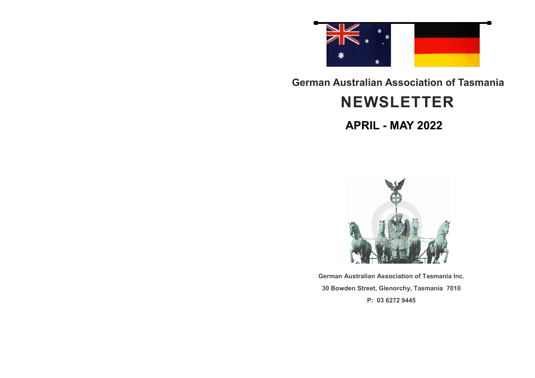

#### **German Australian Association of Tasmania**

## **NEWSLETTER**

**APRIL - MAY 2022**



**German Australian Association of Tasmania Inc. 30 Bowden Street, Glenorchy, Tasmania 7010 P: 03 6272 9445**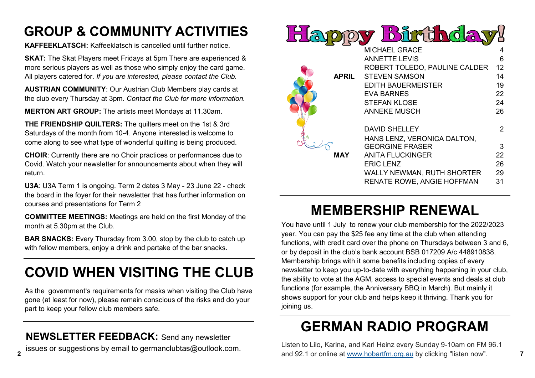## **GROUP & COMMUNITY ACTIVITIES**

**KAFFEEKLATSCH:** Kaffeeklatsch is cancelled until further notice.

**SKAT:** The Skat Players meet Fridays at 5pm There are experienced & more serious players as well as those who simply enjoy the card game. All players catered for. *If you are interested, please contact the Club.*

**AUSTRIAN COMMUNITY**: Our Austrian Club Members play cards at the club every Thursday at 3pm. *Contact the Club for more information.*

**MERTON ART GROUP:** The artists meet Mondays at 11.30am.

**THE FRIENDSHIP QUILTERS:** The quilters meet on the 1st & 3rd Saturdays of the month from 10-4. Anyone interested is welcome to come along to see what type of wonderful quilting is being produced.

**CHOIR**: Currently there are no Choir practices or performances due to Covid. Watch your newsletter for announcements about when they will return.

**U3A**: U3A Term 1 is ongoing. Term 2 dates 3 May - 23 June 22 - check the board in the foyer for their newsletter that has further information on courses and presentations for Term 2

**COMMITTEE MEETINGS:** Meetings are held on the first Monday of the month at 5.30pm at the Club.

**BAR SNACKS:** Every Thursday from 3.00, stop by the club to catch up with fellow members, enjoy a drink and partake of the bar snacks.

# **COVID WHEN VISITING THE CLUB**

As the government's requirements for masks when visiting the Club have gone (at least for now), please remain conscious of the risks and do your part to keep your fellow club members safe.

**NEWSLETTER FEEDBACK:** Send any newsletter issues or suggestions by email to germanclubtas@outlook.com.



# **MEMBERSHIP RENEWAL**

You have until 1 July to renew your club membership for the 2022/2023 year. You can pay the \$25 fee any time at the club when attending functions, with credit card over the phone on Thursdays between 3 and 6, or by deposit in the club's bank account BSB 017209 A/c 448910838. Membership brings with it some benefits including copies of every newsletter to keep you up-to-date with everything happening in your club, the ability to vote at the AGM, access to special events and deals at club functions (for example, the Anniversary BBQ in March). But mainly it shows support for your club and helps keep it thriving. Thank you for joining us.

# **GERMAN RADIO PROGRAM**

**2 7** and 92.1 or online at [www.hobartfm.org.au](http://www.hobartfm.org.au/) by clicking "listen now". Listen to Lilo, Karina, and Karl Heinz every Sunday 9-10am on FM 96.1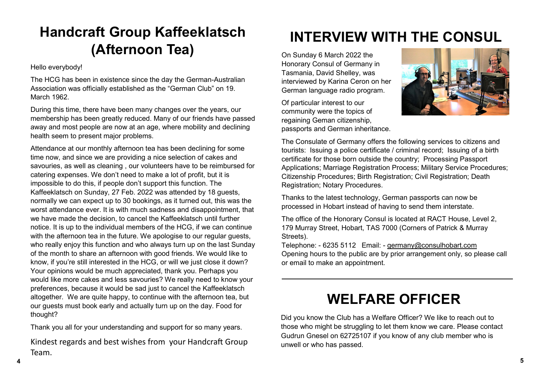## **Handcraft Group Kaffeeklatsch (Afternoon Tea)**

Hello everybody!

The HCG has been in existence since the day the German-Australian Association was officially established as the "German Club" on 19. March 1962.

During this time, there have been many changes over the years, our membership has been greatly reduced. Many of our friends have passed away and most people are now at an age, where mobility and declining health seem to present major problems.

Attendance at our monthly afternoon tea has been declining for some time now, and since we are providing a nice selection of cakes and savouries, as well as cleaning , our volunteers have to be reimbursed for catering expenses. We don't need to make a lot of profit, but it is impossible to do this, if people don't support this function. The Kaffeeklatsch on Sunday, 27 Feb. 2022 was attended by 18 guests, normally we can expect up to 30 bookings, as it turned out, this was the worst attendance ever. It is with much sadness and disappointment, that we have made the decision, to cancel the Kaffeeklatsch until further notice. It is up to the individual members of the HCG, if we can continue with the afternoon tea in the future. We apologise to our regular quests, who really enjoy this function and who always turn up on the last Sunday of the month to share an afternoon with good friends. We would like to know, if you're still interested in the HCG, or will we just close it down? Your opinions would be much appreciated, thank you. Perhaps you would like more cakes and less savouries? We really need to know your preferences, because it would be sad just to cancel the Kaffeeklatsch altogether. We are quite happy, to continue with the afternoon tea, but our guests must book early and actually turn up on the day. Food for thought?

Thank you all for your understanding and support for so many years.

**4 5** Kindest regards and best wishes from your Handcraft Group Team.

# **INTERVIEW WITH THE CONSUL**

On Sunday 6 March 2022 the Honorary Consul of Germany in Tasmania, David Shelley, was interviewed by Karina Ceron on her German language radio program.

Of particular interest to our community were the topics of regaining Geman citizenship, passports and German inheritance.



The Consulate of Germany offers the following services to citizens and tourists: Issuing a police certificate / criminal record; Issuing of a birth certificate for those born outside the country; Processing Passport Applications; Marriage Registration Process; Military Service Procedures; Citizenship Procedures; Birth Registration; Civil Registration; Death Registration; Notary Procedures.

Thanks to the latest technology, German passports can now be processed in Hobart instead of having to send them interstate.

The office of the Honorary Consul is located at RACT House, Level 2, 179 Murray Street, Hobart, TAS 7000 (Corners of Patrick & Murray Streets).

Telephone: - 6235 5112 Email: - [germany@consulhobart.com](mailto:germany@consulhobart.com) Opening hours to the public are by prior arrangement only, so please call or email to make an appointment.

### **WELFARE OFFICER**

Did you know the Club has a Welfare Officer? We like to reach out to those who might be struggling to let them know we care. Please contact Gudrun Gnesel on 62725107 if you know of any club member who is unwell or who has passed.